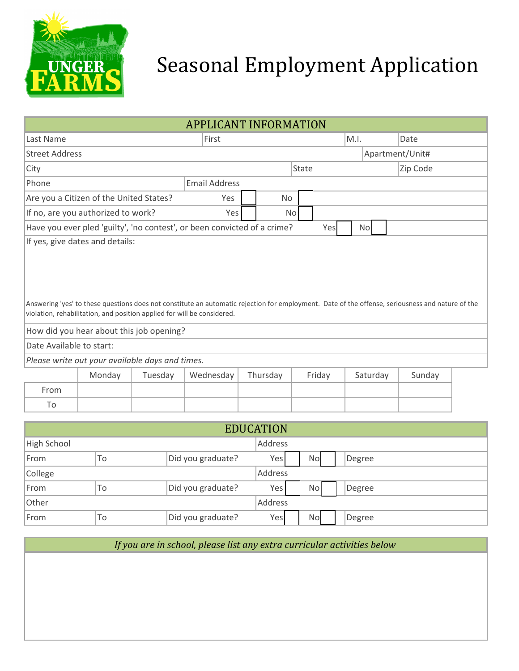

## Seasonal Employment Application

| <b>APPLICANT INFORMATION</b>                                                                                                                                                                                                                                                                                                                                                              |        |                      |                   |                   |                |                     |              |           |          |          |        |      |  |
|-------------------------------------------------------------------------------------------------------------------------------------------------------------------------------------------------------------------------------------------------------------------------------------------------------------------------------------------------------------------------------------------|--------|----------------------|-------------------|-------------------|----------------|---------------------|--------------|-----------|----------|----------|--------|------|--|
| Last Name                                                                                                                                                                                                                                                                                                                                                                                 |        | First                |                   |                   |                |                     |              |           |          | M.I.     |        | Date |  |
| Apartment/Unit#<br><b>Street Address</b>                                                                                                                                                                                                                                                                                                                                                  |        |                      |                   |                   |                |                     |              |           |          |          |        |      |  |
| City                                                                                                                                                                                                                                                                                                                                                                                      |        |                      |                   |                   |                | State               |              |           |          | Zip Code |        |      |  |
| <b>Email Address</b><br>Phone                                                                                                                                                                                                                                                                                                                                                             |        |                      |                   |                   |                |                     |              |           |          |          |        |      |  |
| Are you a Citizen of the United States?<br>Yes                                                                                                                                                                                                                                                                                                                                            |        |                      |                   |                   |                | <b>No</b>           |              |           |          |          |        |      |  |
| If no, are you authorized to work?<br>Yes                                                                                                                                                                                                                                                                                                                                                 |        |                      |                   |                   | N <sub>o</sub> |                     |              |           |          |          |        |      |  |
| Have you ever pled 'guilty', 'no contest', or been convicted of a crime?                                                                                                                                                                                                                                                                                                                  |        |                      |                   |                   |                |                     |              | Yes       |          | No       |        |      |  |
| If yes, give dates and details:<br>Answering 'yes' to these questions does not constitute an automatic rejection for employment. Date of the offense, seriousness and nature of the<br>violation, rehabilitation, and position applied for will be considered.<br>How did you hear about this job opening?<br>Date Available to start:<br>Please write out your available days and times. |        |                      |                   |                   |                |                     |              |           |          |          |        |      |  |
|                                                                                                                                                                                                                                                                                                                                                                                           | Monday | Tuesday<br>Wednesday |                   |                   | Thursday       | Friday              |              |           | Saturday |          | Sunday |      |  |
| From                                                                                                                                                                                                                                                                                                                                                                                      |        |                      |                   |                   |                |                     |              |           |          |          |        |      |  |
| To                                                                                                                                                                                                                                                                                                                                                                                        |        |                      |                   |                   |                |                     |              |           |          |          |        |      |  |
|                                                                                                                                                                                                                                                                                                                                                                                           |        |                      |                   |                   |                |                     |              |           |          |          |        |      |  |
| <b>EDUCATION</b><br><b>Address</b>                                                                                                                                                                                                                                                                                                                                                        |        |                      |                   |                   |                |                     |              |           |          |          |        |      |  |
| <b>High School</b>                                                                                                                                                                                                                                                                                                                                                                        |        |                      |                   |                   | Yes            |                     |              |           |          |          |        |      |  |
| To<br>Did you graduate?<br>From                                                                                                                                                                                                                                                                                                                                                           |        |                      |                   |                   | <b>Address</b> | <b>No</b><br>Degree |              |           |          |          |        |      |  |
| College                                                                                                                                                                                                                                                                                                                                                                                   |        |                      |                   |                   |                |                     |              |           |          |          |        |      |  |
| From<br>To<br>Other                                                                                                                                                                                                                                                                                                                                                                       |        |                      | Did you graduate? |                   |                | Yes                 | No<br>Degree |           |          |          |        |      |  |
| To                                                                                                                                                                                                                                                                                                                                                                                        |        |                      |                   | Did you graduate? |                | Address             |              |           | Degree   |          |        |      |  |
| From                                                                                                                                                                                                                                                                                                                                                                                      |        |                      |                   |                   |                | Yes                 |              | <b>No</b> |          |          |        |      |  |

*If you are in school, please list any extra curricular activities below*